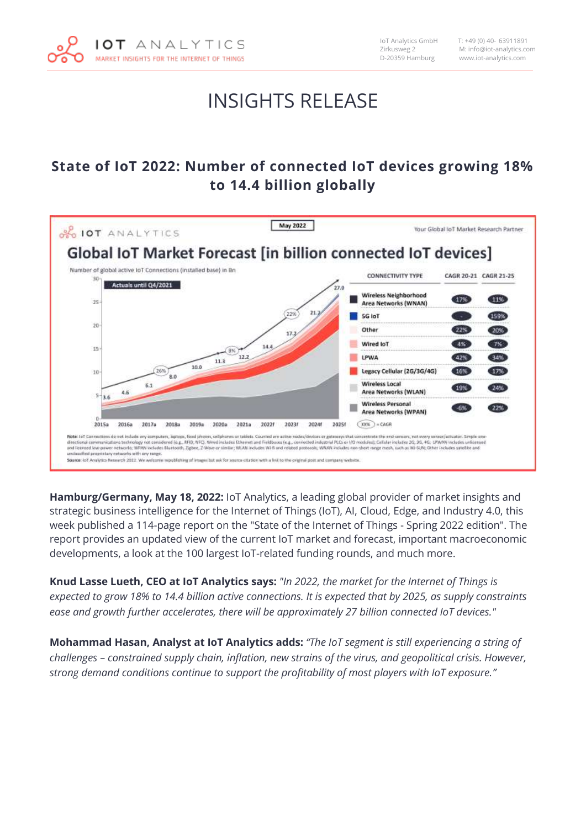

 IoT Analytics GmbH T: +49 (0) 40- 63911891 Zirkusweg 2 M: info@iot-analytics.com www.iot-analytics.com

### INSIGHTS RELEASE

#### **State of IoT 2022: Number of connected IoT devices growing 18% to 14.4 billion globally**



**Hamburg/Germany, May 18, 2022:** IoT Analytics, a leading global provider of market insights and strategic business intelligence for the Internet of Things (IoT), AI, Cloud, Edge, and Industry 4.0, this week published a 114-page report on the "State of the Internet of Things - Spring 2022 edition". The report provides an updated view of the current IoT market and forecast, important macroeconomic developments, a look at the 100 largest IoT-related funding rounds, and much more.

**Knud Lasse Lueth, CEO at IoT Analytics says:** *"In 2022, the market for the Internet of Things is expected to grow 18% to 14.4 billion active connections. It is expected that by 2025, as supply constraints ease and growth further accelerates, there will be approximately 27 billion connected IoT devices."*

**Mohammad Hasan, Analyst at IoT Analytics adds:** *"The IoT segment is still experiencing a string of challenges – constrained supply chain, inflation, new strains of the virus, and geopolitical crisis. However, strong demand conditions continue to support the profitability of most players with IoT exposure."*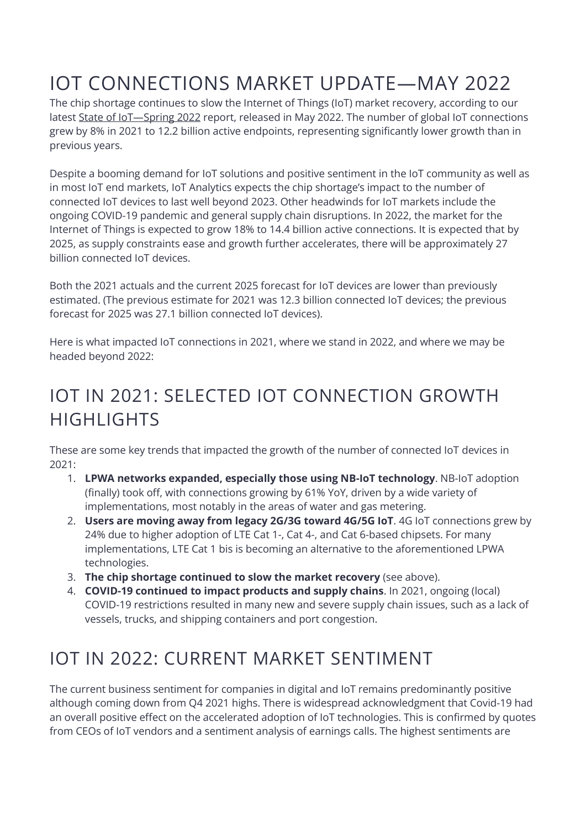# IOT CONNECTIONS MARKET UPDATE—MAY 2022

The chip shortage continues to slow the Internet of Things (IoT) market recovery, according to our latest State of IoT—[Spring 2022](https://iot-analytics.com/product/state-of-iot-spring-2022/) report, released in May 2022. The number of global IoT connections grew by 8% in 2021 to 12.2 billion active endpoints, representing significantly lower growth than in previous years.

Despite a booming demand for IoT solutions and positive sentiment in the IoT community as well as in most IoT end markets, IoT Analytics expects the chip shortage's impact to the number of connected IoT devices to last well beyond 2023. Other headwinds for IoT markets include the ongoing COVID-19 pandemic and general supply chain disruptions. In 2022, the market for the Internet of Things is expected to grow 18% to 14.4 billion active connections. It is expected that by 2025, as supply constraints ease and growth further accelerates, there will be approximately 27 billion connected IoT devices.

Both the 2021 actuals and the current 2025 forecast for IoT devices are lower than previously estimated. (The previous estimate for 2021 was 12.3 billion connected IoT devices; the previous forecast for 2025 was 27.1 billion connected IoT devices).

Here is what impacted IoT connections in 2021, where we stand in 2022, and where we may be headed beyond 2022:

## IOT IN 2021: SELECTED IOT CONNECTION GROWTH HIGHLIGHTS

These are some key trends that impacted the growth of the number of connected IoT devices in 2021:

- 1. **LPWA networks expanded, especially those using NB-IoT technology**. NB-IoT adoption (finally) took off, with connections growing by 61% YoY, driven by a wide variety of implementations, most notably in the areas of water and gas metering.
- 2. **Users are moving away from legacy 2G/3G toward 4G/5G IoT**. 4G IoT connections grew by 24% due to higher adoption of LTE Cat 1-, Cat 4-, and Cat 6-based chipsets. For many implementations, LTE Cat 1 bis is becoming an alternative to the aforementioned LPWA technologies.
- 3. **The chip shortage continued to slow the market recovery** (see above).
- 4. **COVID-19 continued to impact products and supply chains**. In 2021, ongoing (local) COVID-19 restrictions resulted in many new and severe supply chain issues, such as a lack of vessels, trucks, and shipping containers and port congestion.

## IOT IN 2022: CURRENT MARKET SENTIMENT

The current business sentiment for companies in digital and IoT remains predominantly positive although coming down from Q4 2021 highs. There is widespread acknowledgment that Covid-19 had an overall positive effect on the accelerated adoption of IoT technologies. This is confirmed by quotes from CEOs of IoT vendors and a sentiment analysis of earnings calls. The highest sentiments are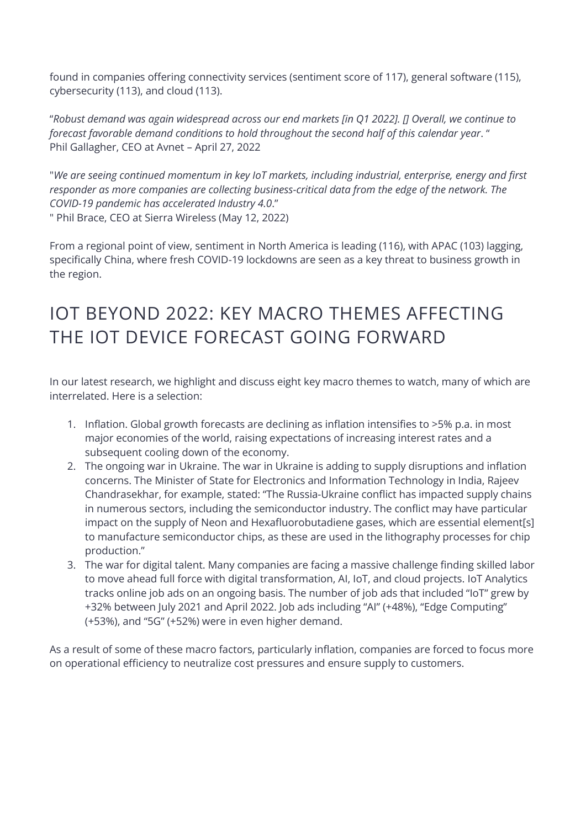found in companies offering connectivity services (sentiment score of 117), general software (115), cybersecurity (113), and cloud (113).

"*Robust demand was again widespread across our end markets [in Q1 2022]. [] Overall, we continue to forecast favorable demand conditions to hold throughout the second half of this calendar year*. " Phil Gallagher, CEO at Avnet – April 27, 2022

"*We are seeing continued momentum in key IoT markets, including industrial, enterprise, energy and first responder as more companies are collecting business-critical data from the edge of the network. The COVID-19 pandemic has accelerated Industry 4.0*." " Phil Brace, CEO at Sierra Wireless (May 12, 2022)

From a regional point of view, sentiment in North America is leading (116), with APAC (103) lagging, specifically China, where fresh COVID-19 lockdowns are seen as a key threat to business growth in the region.

### IOT BEYOND 2022: KEY MACRO THEMES AFFECTING THE IOT DEVICE FORECAST GOING FORWARD

In our latest research, we highlight and discuss eight key macro themes to watch, many of which are interrelated. Here is a selection:

- 1. Inflation. Global growth forecasts are declining as inflation intensifies to >5% p.a. in most major economies of the world, raising expectations of increasing interest rates and a subsequent cooling down of the economy.
- 2. The ongoing war in Ukraine. The war in Ukraine is adding to supply disruptions and inflation concerns. The Minister of State for Electronics and Information Technology in India, Rajeev Chandrasekhar, for example, stated: "The Russia-Ukraine conflict has impacted supply chains in numerous sectors, including the semiconductor industry. The conflict may have particular impact on the supply of Neon and Hexafluorobutadiene gases, which are essential element[s] to manufacture semiconductor chips, as these are used in the lithography processes for chip production."
- 3. The war for digital talent. Many companies are facing a massive challenge finding skilled labor to move ahead full force with digital transformation, AI, IoT, and cloud projects. IoT Analytics tracks online job ads on an ongoing basis. The number of job ads that included "IoT" grew by +32% between July 2021 and April 2022. Job ads including "AI" (+48%), "Edge Computing" (+53%), and "5G" (+52%) were in even higher demand.

As a result of some of these macro factors, particularly inflation, companies are forced to focus more on operational efficiency to neutralize cost pressures and ensure supply to customers.